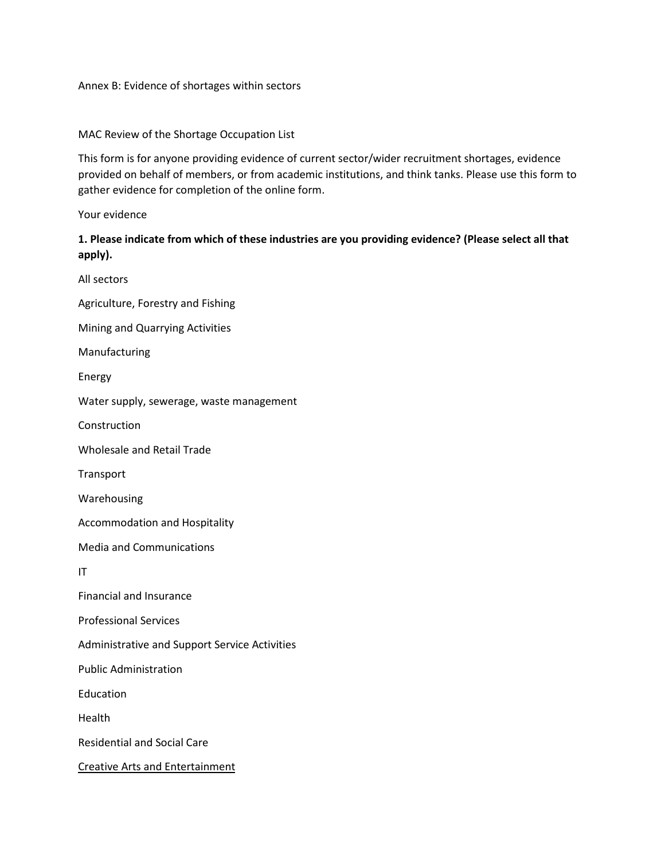#### Annex B: Evidence of shortages within sectors

#### MAC Review of the Shortage Occupation List

This form is for anyone providing evidence of current sector/wider recruitment shortages, evidence provided on behalf of members, or from academic institutions, and think tanks. Please use this form to gather evidence for completion of the online form.

Your evidence

## **1. Please indicate from which of these industries are you providing evidence? (Please select all that apply).**

All sectors Agriculture, Forestry and Fishing Mining and Quarrying Activities Manufacturing Energy Water supply, sewerage, waste management Construction Wholesale and Retail Trade Transport Warehousing Accommodation and Hospitality Media and Communications IT Financial and Insurance Professional Services Administrative and Support Service Activities Public Administration Education Health Residential and Social Care Creative Arts and Entertainment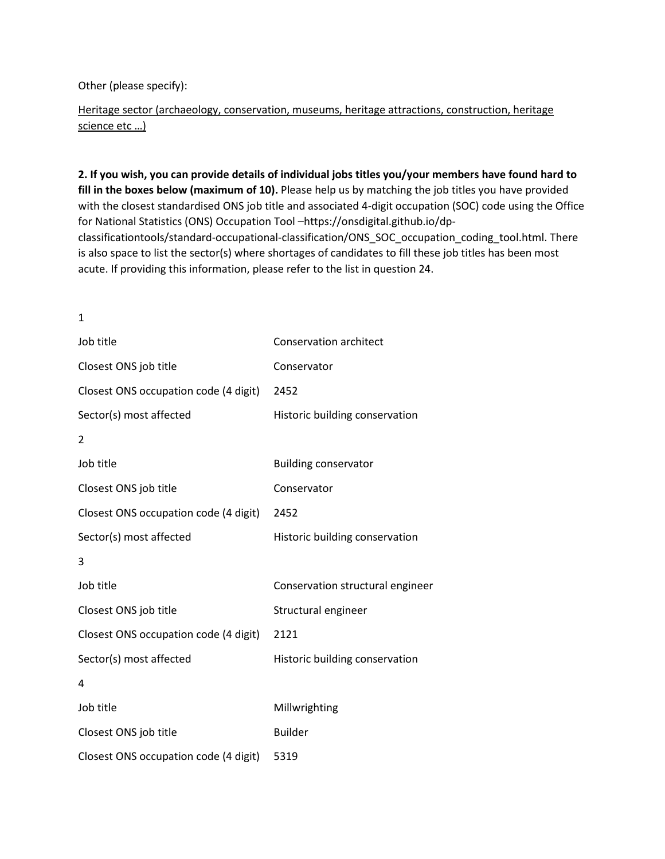Other (please specify):

Heritage sector (archaeology, conservation, museums, heritage attractions, construction, heritage science etc …)

**2. If you wish, you can provide details of individual jobs titles you/your members have found hard to fill in the boxes below (maximum of 10).** Please help us by matching the job titles you have provided with the closest standardised ONS job title and associated 4-digit occupation (SOC) code using the Office for National Statistics (ONS) Occupation Tool –https://onsdigital.github.io/dpclassificationtools/standard-occupational-classification/ONS\_SOC\_occupation\_coding\_tool.html. There is also space to list the sector(s) where shortages of candidates to fill these job titles has been most acute. If providing this information, please refer to the list in question 24.

1

| Job title                             | <b>Conservation architect</b>    |
|---------------------------------------|----------------------------------|
| Closest ONS job title                 | Conservator                      |
| Closest ONS occupation code (4 digit) | 2452                             |
| Sector(s) most affected               | Historic building conservation   |
| 2                                     |                                  |
| Job title                             | <b>Building conservator</b>      |
| Closest ONS job title                 | Conservator                      |
| Closest ONS occupation code (4 digit) | 2452                             |
| Sector(s) most affected               | Historic building conservation   |
| 3                                     |                                  |
| Job title                             | Conservation structural engineer |
| Closest ONS job title                 | Structural engineer              |
| Closest ONS occupation code (4 digit) | 2121                             |
| Sector(s) most affected               | Historic building conservation   |
| 4                                     |                                  |
| Job title                             | Millwrighting                    |
| Closest ONS job title                 | <b>Builder</b>                   |
| Closest ONS occupation code (4 digit) | 5319                             |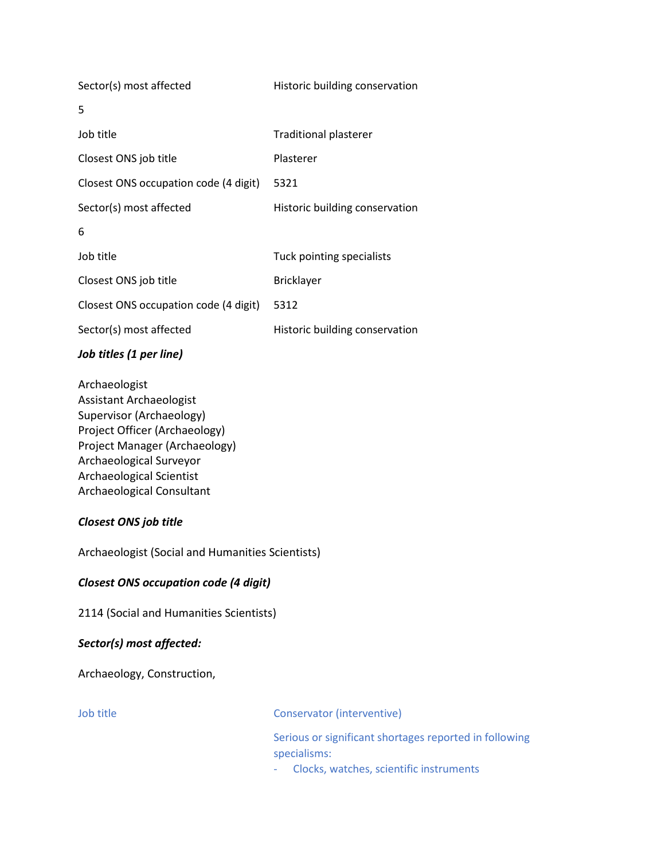| Sector(s) most affected               | Historic building conservation |
|---------------------------------------|--------------------------------|
| 5                                     |                                |
| Job title                             | <b>Traditional plasterer</b>   |
| Closest ONS job title                 | Plasterer                      |
| Closest ONS occupation code (4 digit) | 5321                           |
| Sector(s) most affected               | Historic building conservation |
| 6                                     |                                |
| Job title                             | Tuck pointing specialists      |
| Closest ONS job title                 | <b>Bricklayer</b>              |
| Closest ONS occupation code (4 digit) | 5312                           |
| Sector(s) most affected               | Historic building conservation |
|                                       |                                |

#### *Job titles (1 per line)*

Archaeologist Assistant Archaeologist Supervisor (Archaeology) Project Officer (Archaeology) Project Manager (Archaeology) Archaeological Surveyor Archaeological Scientist Archaeological Consultant

## *Closest ONS job title*

Archaeologist (Social and Humanities Scientists)

## *Closest ONS occupation code (4 digit)*

2114 (Social and Humanities Scientists)

## *Sector(s) most affected:*

Archaeology, Construction,

Job title Conservator (interventive)

Serious or significant shortages reported in following specialisms:

- Clocks, watches, scientific instruments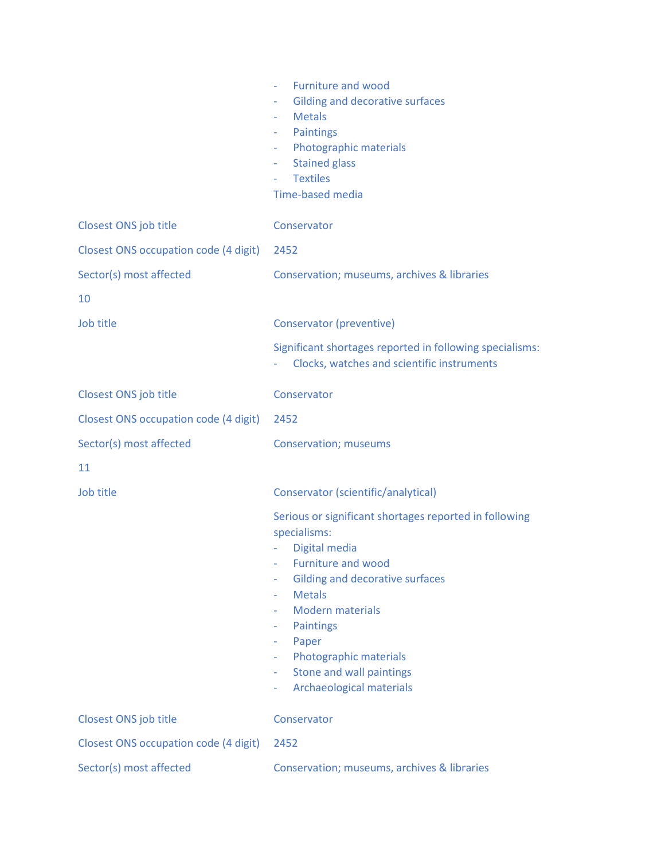|                                       | <b>Furniture and wood</b><br>$\overline{\phantom{a}}$<br><b>Gilding and decorative surfaces</b><br>٠<br><b>Metals</b><br>Paintings<br>$\sim$<br>Photographic materials<br>$\blacksquare$<br><b>Stained glass</b><br>٠<br><b>Textiles</b><br><b>Time-based media</b>                                                                                            |
|---------------------------------------|----------------------------------------------------------------------------------------------------------------------------------------------------------------------------------------------------------------------------------------------------------------------------------------------------------------------------------------------------------------|
| Closest ONS job title                 | Conservator                                                                                                                                                                                                                                                                                                                                                    |
| Closest ONS occupation code (4 digit) | 2452                                                                                                                                                                                                                                                                                                                                                           |
| Sector(s) most affected               | Conservation; museums, archives & libraries                                                                                                                                                                                                                                                                                                                    |
| 10                                    |                                                                                                                                                                                                                                                                                                                                                                |
| Job title                             | Conservator (preventive)                                                                                                                                                                                                                                                                                                                                       |
|                                       | Significant shortages reported in following specialisms:<br>Clocks, watches and scientific instruments                                                                                                                                                                                                                                                         |
| Closest ONS job title                 | Conservator                                                                                                                                                                                                                                                                                                                                                    |
| Closest ONS occupation code (4 digit) | 2452                                                                                                                                                                                                                                                                                                                                                           |
| Sector(s) most affected               | <b>Conservation; museums</b>                                                                                                                                                                                                                                                                                                                                   |
| 11                                    |                                                                                                                                                                                                                                                                                                                                                                |
| Job title                             | Conservator (scientific/analytical)                                                                                                                                                                                                                                                                                                                            |
|                                       | Serious or significant shortages reported in following<br>specialisms:<br>Digital media<br><b>Furniture and wood</b><br>٠<br><b>Gilding and decorative surfaces</b><br><b>Metals</b><br>÷<br><b>Modern materials</b><br><b>Paintings</b><br>٠<br>Paper<br>٠<br>Photographic materials<br>Stone and wall paintings<br>٠<br><b>Archaeological materials</b><br>٠ |
| Closest ONS job title                 | Conservator                                                                                                                                                                                                                                                                                                                                                    |
| Closest ONS occupation code (4 digit) | 2452                                                                                                                                                                                                                                                                                                                                                           |
| Sector(s) most affected               | Conservation; museums, archives & libraries                                                                                                                                                                                                                                                                                                                    |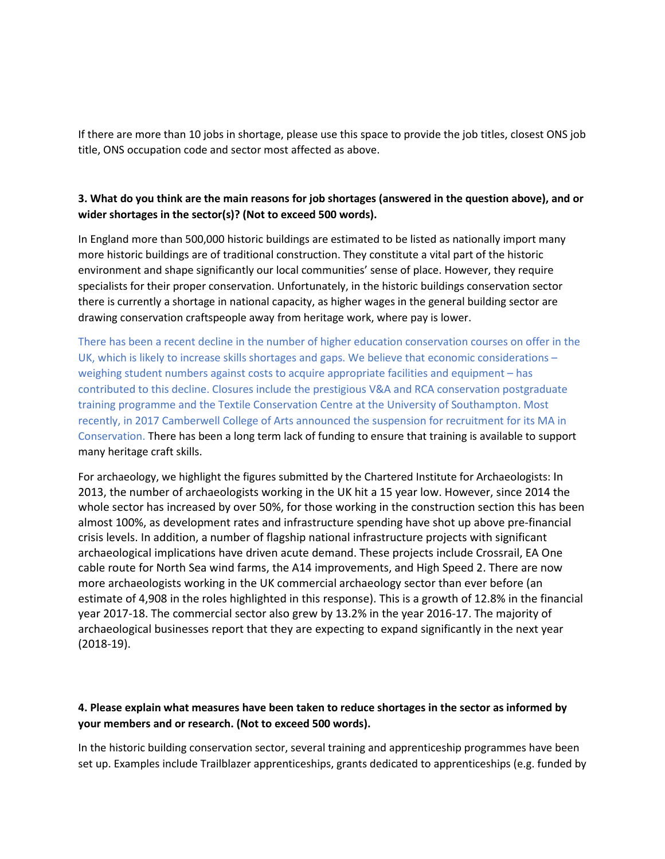If there are more than 10 jobs in shortage, please use this space to provide the job titles, closest ONS job title, ONS occupation code and sector most affected as above.

## **3. What do you think are the main reasons for job shortages (answered in the question above), and or wider shortages in the sector(s)? (Not to exceed 500 words).**

In England more than 500,000 historic buildings are estimated to be listed as nationally import many more historic buildings are of traditional construction. They constitute a vital part of the historic environment and shape significantly our local communities' sense of place. However, they require specialists for their proper conservation. Unfortunately, in the historic buildings conservation sector there is currently a shortage in national capacity, as higher wages in the general building sector are drawing conservation craftspeople away from heritage work, where pay is lower.

There has been a recent decline in the number of higher education conservation courses on offer in the UK, which is likely to increase skills shortages and gaps. We believe that economic considerations – weighing student numbers against costs to acquire appropriate facilities and equipment – has contributed to this decline. Closures include the prestigious V&A and RCA conservation postgraduate training programme and the Textile Conservation Centre at the University of Southampton. Most recently, in 2017 Camberwell College of Arts announced the suspension for recruitment for its MA in Conservation. There has been a long term lack of funding to ensure that training is available to support many heritage craft skills.

For archaeology, we highlight the figures submitted by the Chartered Institute for Archaeologists: In 2013, the number of archaeologists working in the UK hit a 15 year low. However, since 2014 the whole sector has increased by over 50%, for those working in the construction section this has been almost 100%, as development rates and infrastructure spending have shot up above pre-financial crisis levels. In addition, a number of flagship national infrastructure projects with significant archaeological implications have driven acute demand. These projects include Crossrail, EA One cable route for North Sea wind farms, the A14 improvements, and High Speed 2. There are now more archaeologists working in the UK commercial archaeology sector than ever before (an estimate of 4,908 in the roles highlighted in this response). This is a growth of 12.8% in the financial year 2017-18. The commercial sector also grew by 13.2% in the year 2016-17. The majority of archaeological businesses report that they are expecting to expand significantly in the next year (2018-19).

#### **4. Please explain what measures have been taken to reduce shortages in the sector as informed by your members and or research. (Not to exceed 500 words).**

In the historic building conservation sector, several training and apprenticeship programmes have been set up. Examples include Trailblazer apprenticeships, grants dedicated to apprenticeships (e.g. funded by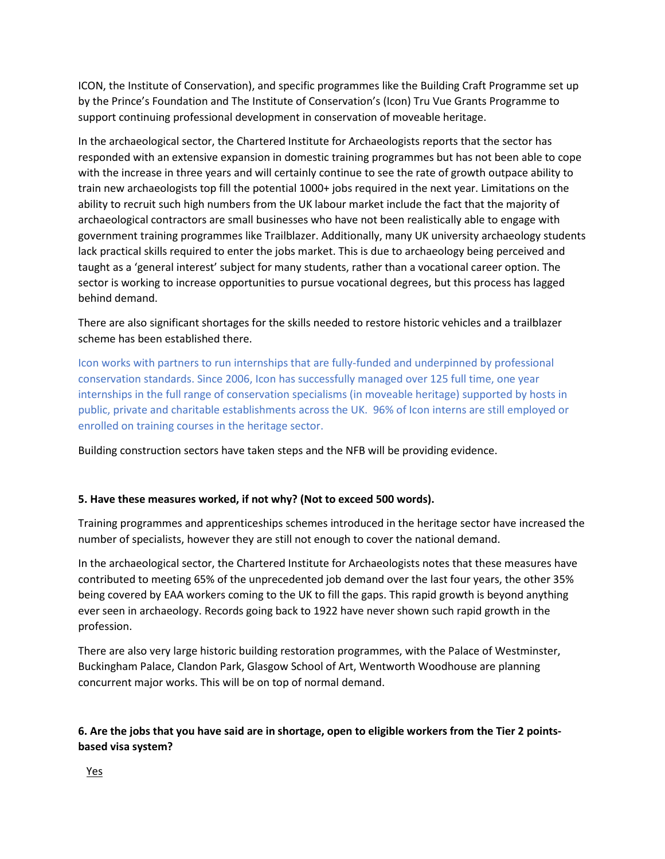ICON, the Institute of Conservation), and specific programmes like the Building Craft Programme set up by the Prince's Foundation and The Institute of Conservation's (Icon) Tru Vue Grants Programme to support continuing professional development in conservation of moveable heritage.

In the archaeological sector, the Chartered Institute for Archaeologists reports that the sector has responded with an extensive expansion in domestic training programmes but has not been able to cope with the increase in three years and will certainly continue to see the rate of growth outpace ability to train new archaeologists top fill the potential 1000+ jobs required in the next year. Limitations on the ability to recruit such high numbers from the UK labour market include the fact that the majority of archaeological contractors are small businesses who have not been realistically able to engage with government training programmes like Trailblazer. Additionally, many UK university archaeology students lack practical skills required to enter the jobs market. This is due to archaeology being perceived and taught as a 'general interest' subject for many students, rather than a vocational career option. The sector is working to increase opportunities to pursue vocational degrees, but this process has lagged behind demand.

There are also significant shortages for the skills needed to restore historic vehicles and a trailblazer scheme has been established there.

Icon works with partners to run internships that are fully-funded and underpinned by professional conservation standards. Since 2006, Icon has successfully managed over 125 full time, one year internships in the full range of conservation specialisms (in moveable heritage) supported by hosts in public, private and charitable establishments across the UK. 96% of Icon interns are still employed or enrolled on training courses in the heritage sector.

Building construction sectors have taken steps and the NFB will be providing evidence.

## **5. Have these measures worked, if not why? (Not to exceed 500 words).**

Training programmes and apprenticeships schemes introduced in the heritage sector have increased the number of specialists, however they are still not enough to cover the national demand.

In the archaeological sector, the Chartered Institute for Archaeologists notes that these measures have contributed to meeting 65% of the unprecedented job demand over the last four years, the other 35% being covered by EAA workers coming to the UK to fill the gaps. This rapid growth is beyond anything ever seen in archaeology. Records going back to 1922 have never shown such rapid growth in the profession.

There are also very large historic building restoration programmes, with the Palace of Westminster, Buckingham Palace, Clandon Park, Glasgow School of Art, Wentworth Woodhouse are planning concurrent major works. This will be on top of normal demand.

# **6. Are the jobs that you have said are in shortage, open to eligible workers from the Tier 2 pointsbased visa system?**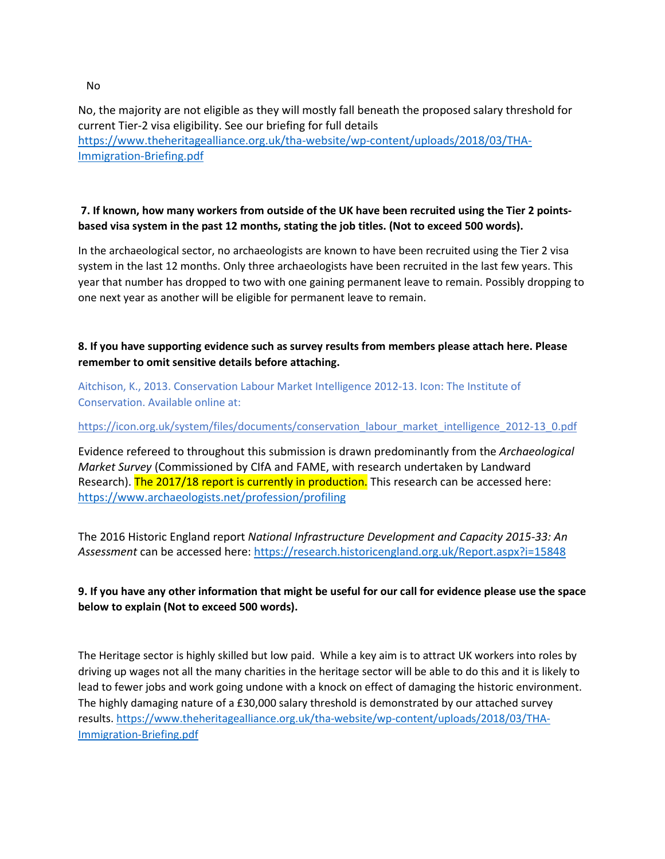No, the majority are not eligible as they will mostly fall beneath the proposed salary threshold for current Tier-2 visa eligibility. See our briefing for full details [https://www.theheritagealliance.org.uk/tha-website/wp-content/uploads/2018/03/THA-](https://www.theheritagealliance.org.uk/tha-website/wp-content/uploads/2018/03/THA-Immigration-Briefing.pdf)[Immigration-Briefing.pdf](https://www.theheritagealliance.org.uk/tha-website/wp-content/uploads/2018/03/THA-Immigration-Briefing.pdf)

#### **7. If known, how many workers from outside of the UK have been recruited using the Tier 2 pointsbased visa system in the past 12 months, stating the job titles. (Not to exceed 500 words).**

In the archaeological sector, no archaeologists are known to have been recruited using the Tier 2 visa system in the last 12 months. Only three archaeologists have been recruited in the last few years. This year that number has dropped to two with one gaining permanent leave to remain. Possibly dropping to one next year as another will be eligible for permanent leave to remain.

## **8. If you have supporting evidence such as survey results from members please attach here. Please remember to omit sensitive details before attaching.**

Aitchison, K., 2013. Conservation Labour Market Intelligence 2012-13. Icon: The Institute of Conservation. Available online at:

[https://icon.org.uk/system/files/documents/conservation\\_labour\\_market\\_intelligence\\_2012-13\\_0.pdf](https://icon.org.uk/system/files/documents/conservation_labour_market_intelligence_2012-13_0.pdf)

Evidence refereed to throughout this submission is drawn predominantly from the *Archaeological Market Survey* (Commissioned by CIfA and FAME, with research undertaken by Landward Research). The 2017/18 report is currently in production. This research can be accessed here: <https://www.archaeologists.net/profession/profiling>

The 2016 Historic England report *National Infrastructure Development and Capacity 2015-33: An Assessment* can be accessed here:<https://research.historicengland.org.uk/Report.aspx?i=15848>

# **9. If you have any other information that might be useful for our call for evidence please use the space below to explain (Not to exceed 500 words).**

The Heritage sector is highly skilled but low paid. While a key aim is to attract UK workers into roles by driving up wages not all the many charities in the heritage sector will be able to do this and it is likely to lead to fewer jobs and work going undone with a knock on effect of damaging the historic environment. The highly damaging nature of a £30,000 salary threshold is demonstrated by our attached survey results. [https://www.theheritagealliance.org.uk/tha-website/wp-content/uploads/2018/03/THA-](https://www.theheritagealliance.org.uk/tha-website/wp-content/uploads/2018/03/THA-Immigration-Briefing.pdf)[Immigration-Briefing.pdf](https://www.theheritagealliance.org.uk/tha-website/wp-content/uploads/2018/03/THA-Immigration-Briefing.pdf)

No